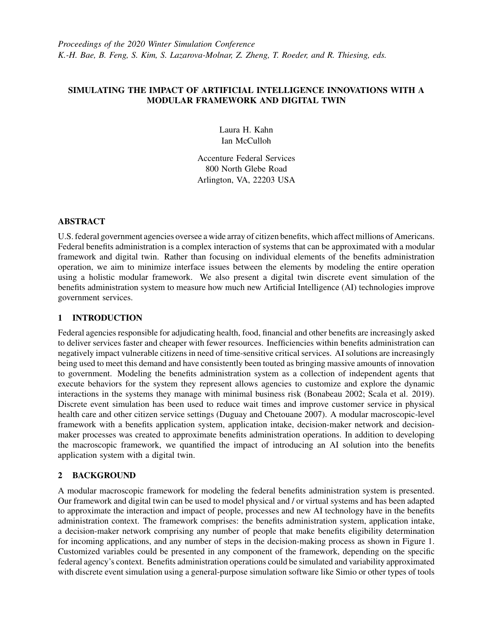# SIMULATING THE IMPACT OF ARTIFICIAL INTELLIGENCE INNOVATIONS WITH A MODULAR FRAMEWORK AND DIGITAL TWIN

Laura H. Kahn Ian McCulloh

Accenture Federal Services 800 North Glebe Road Arlington, VA, 22203 USA

# ABSTRACT

U.S. federal government agencies oversee a wide array of citizen benefits, which affect millions of Americans. Federal benefits administration is a complex interaction of systems that can be approximated with a modular framework and digital twin. Rather than focusing on individual elements of the benefits administration operation, we aim to minimize interface issues between the elements by modeling the entire operation using a holistic modular framework. We also present a digital twin discrete event simulation of the benefits administration system to measure how much new Artificial Intelligence (AI) technologies improve government services.

## 1 INTRODUCTION

Federal agencies responsible for adjudicating health, food, financial and other benefits are increasingly asked to deliver services faster and cheaper with fewer resources. Inefficiencies within benefits administration can negatively impact vulnerable citizens in need of time-sensitive critical services. AI solutions are increasingly being used to meet this demand and have consistently been touted as bringing massive amounts of innovation to government. Modeling the benefits administration system as a collection of independent agents that execute behaviors for the system they represent allows agencies to customize and explore the dynamic interactions in the systems they manage with minimal business risk [\(Bonabeau 2002;](#page-1-0) [Scala et al. 2019\)](#page-1-1). Discrete event simulation has been used to reduce wait times and improve customer service in physical health care and other citizen service settings [\(Duguay and Chetouane 2007\)](#page-1-2). A modular macroscopic-level framework with a benefits application system, application intake, decision-maker network and decisionmaker processes was created to approximate benefits administration operations. In addition to developing the macroscopic framework, we quantified the impact of introducing an AI solution into the benefits application system with a digital twin.

# 2 BACKGROUND

A modular macroscopic framework for modeling the federal benefits administration system is presented. Our framework and digital twin can be used to model physical and / or virtual systems and has been adapted to approximate the interaction and impact of people, processes and new AI technology have in the benefits administration context. The framework comprises: the benefits administration system, application intake, a decision-maker network comprising any number of people that make benefits eligibility determination for incoming applications, and any number of steps in the decision-making process as shown in Figure 1. Customized variables could be presented in any component of the framework, depending on the specific federal agency's context. Benefits administration operations could be simulated and variability approximated with discrete event simulation using a general-purpose simulation software like Simio or other types of tools